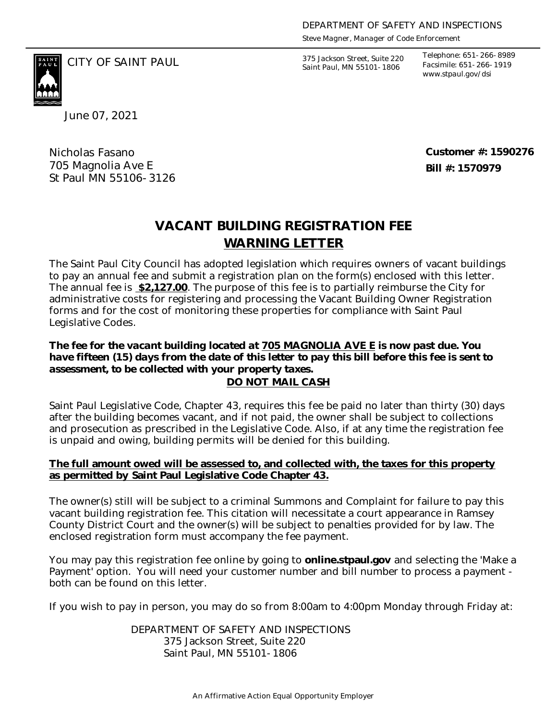*Steve Magner, Manager of Code Enforcement*

375 Jackson Street, Suite 220 *Saint Paul, MN 55101-1806*

*Telephone: 651-266-8989 Facsimile: 651-266-1919 www.stpaul.gov/dsi*

June 07, 2021

Nicholas Fasano 705 Magnolia Ave E St Paul MN 55106-3126

CITY OF SAINT PAUL *375 Jackson Street, Suite 220* 

**Customer #: 1590276 Bill #: 1570979**

## **WARNING LETTER VACANT BUILDING REGISTRATION FEE**

The Saint Paul City Council has adopted legislation which requires owners of vacant buildings to pay an annual fee and submit a registration plan on the form(s) enclosed with this letter. The annual fee is **\$2,127.00**. The purpose of this fee is to partially reimburse the City for administrative costs for registering and processing the Vacant Building Owner Registration forms and for the cost of monitoring these properties for compliance with Saint Paul Legislative Codes.

*The fee for the vacant building located at* **705 MAGNOLIA AVE E** *is now past due. You have fifteen (15) days from the date of this letter to pay this bill before this fee is sent to assessment, to be collected with your property taxes.*

## **DO NOT MAIL CASH**

Saint Paul Legislative Code, Chapter 43, requires this fee be paid no later than thirty (30) days after the building becomes vacant, and if not paid, the owner shall be subject to collections and prosecution as prescribed in the Legislative Code. Also, if at any time the registration fee is unpaid and owing, building permits will be denied for this building.

## **The full amount owed will be assessed to, and collected with, the taxes for this property as permitted by Saint Paul Legislative Code Chapter 43.**

The owner(s) still will be subject to a criminal Summons and Complaint for failure to pay this vacant building registration fee. This citation will necessitate a court appearance in Ramsey County District Court and the owner(s) will be subject to penalties provided for by law. The enclosed registration form must accompany the fee payment.

You may pay this registration fee online by going to **online.stpaul.gov** and selecting the 'Make a Payment' option. You will need your customer number and bill number to process a payment both can be found on this letter.

If you wish to pay in person, you may do so from 8:00am to 4:00pm Monday through Friday at:

DEPARTMENT OF SAFETY AND INSPECTIONS 375 Jackson Street, Suite 220 Saint Paul, MN 55101-1806